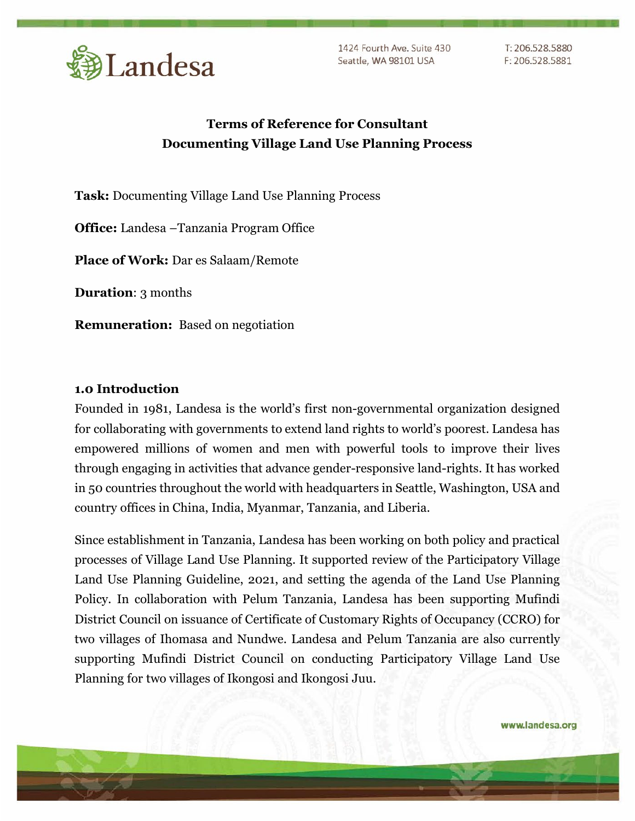

1424 Fourth Ave. Suite 430 Seattle, WA 98101 USA

T: 206.528.5880 F: 206.528.5881

# **Terms of Reference for Consultant Documenting Village Land Use Planning Process**

**Task:** Documenting Village Land Use Planning Process

**Office:** Landesa –Tanzania Program Office

**Place of Work:** Dar es Salaam/Remote

**Duration**: 3 months

**Remuneration:** Based on negotiation

#### **1.0 Introduction**

Founded in 1981, Landesa is the world's first non-governmental organization designed for collaborating with governments to extend land rights to world's poorest. Landesa has empowered millions of women and men with powerful tools to improve their lives through engaging in activities that advance gender-responsive land-rights. It has worked in 50 countries throughout the world with headquarters in Seattle, Washington, USA and country offices in China, India, Myanmar, Tanzania, and Liberia.

Since establishment in Tanzania, Landesa has been working on both policy and practical processes of Village Land Use Planning. It supported review of the Participatory Village Land Use Planning Guideline, 2021, and setting the agenda of the Land Use Planning Policy. In collaboration with Pelum Tanzania, Landesa has been supporting Mufindi District Council on issuance of Certificate of Customary Rights of Occupancy (CCRO) for two villages of Ihomasa and Nundwe. Landesa and Pelum Tanzania are also currently supporting Mufindi District Council on conducting Participatory Village Land Use Planning for two villages of Ikongosi and Ikongosi Juu.

www.landesa.org

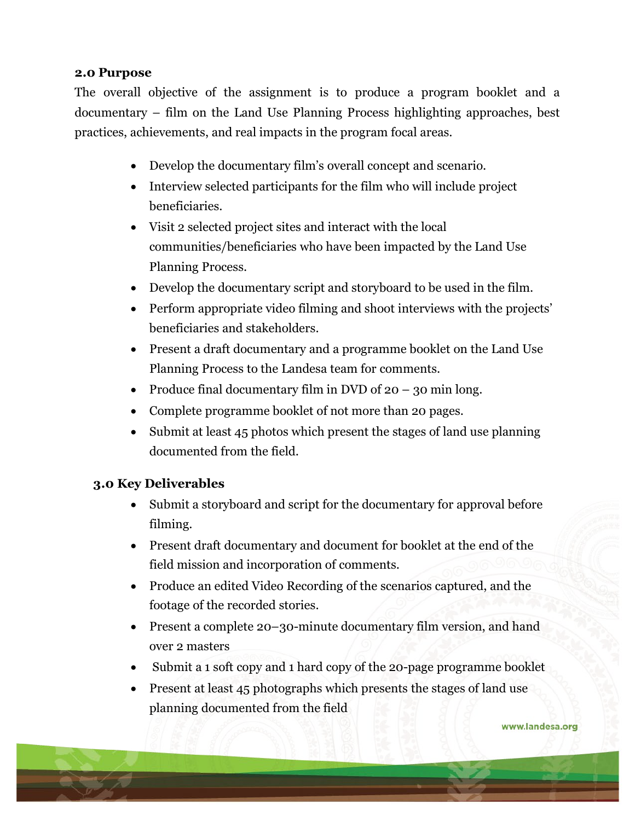#### **2.0 Purpose**

The overall objective of the assignment is to produce a program booklet and a documentary – film on the Land Use Planning Process highlighting approaches, best practices, achievements, and real impacts in the program focal areas.

- Develop the documentary film's overall concept and scenario.
- Interview selected participants for the film who will include project beneficiaries.
- Visit 2 selected project sites and interact with the local communities/beneficiaries who have been impacted by the Land Use Planning Process.
- Develop the documentary script and storyboard to be used in the film.
- Perform appropriate video filming and shoot interviews with the projects' beneficiaries and stakeholders.
- Present a draft documentary and a programme booklet on the Land Use Planning Process to the Landesa team for comments.
- Produce final documentary film in DVD of  $20 30$  min long.
- Complete programme booklet of not more than 20 pages.
- Submit at least 45 photos which present the stages of land use planning documented from the field.

#### **3.0 Key Deliverables**

- Submit a storyboard and script for the documentary for approval before filming.
- Present draft documentary and document for booklet at the end of the field mission and incorporation of comments.
- Produce an edited Video Recording of the scenarios captured, and the footage of the recorded stories.
- Present a complete 20–30-minute documentary film version, and hand over 2 masters
- Submit a 1 soft copy and 1 hard copy of the 20-page programme booklet
- Present at least 45 photographs which presents the stages of land use planning documented from the field